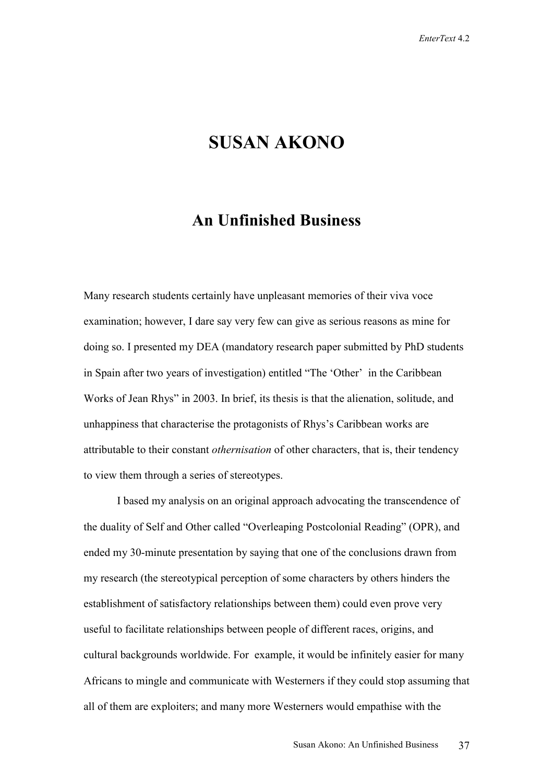## **SUSAN AKONO**

## **An Unfinished Business**

Many research students certainly have unpleasant memories of their viva voce examination; however, I dare say very few can give as serious reasons as mine for doing so. I presented my DEA (mandatory research paper submitted by PhD students in Spain after two years of investigation) entitled "The 'Other' in the Caribbean Works of Jean Rhys" in 2003. In brief, its thesis is that the alienation, solitude, and unhappiness that characterise the protagonists of Rhys's Caribbean works are attributable to their constant *othernisation* of other characters, that is, their tendency to view them through a series of stereotypes.

I based my analysis on an original approach advocating the transcendence of the duality of Self and Other called "Overleaping Postcolonial Reading" (OPR), and ended my 30-minute presentation by saying that one of the conclusions drawn from my research (the stereotypical perception of some characters by others hinders the establishment of satisfactory relationships between them) could even prove very useful to facilitate relationships between people of different races, origins, and cultural backgrounds worldwide. For example, it would be infinitely easier for many Africans to mingle and communicate with Westerners if they could stop assuming that all of them are exploiters; and many more Westerners would empathise with the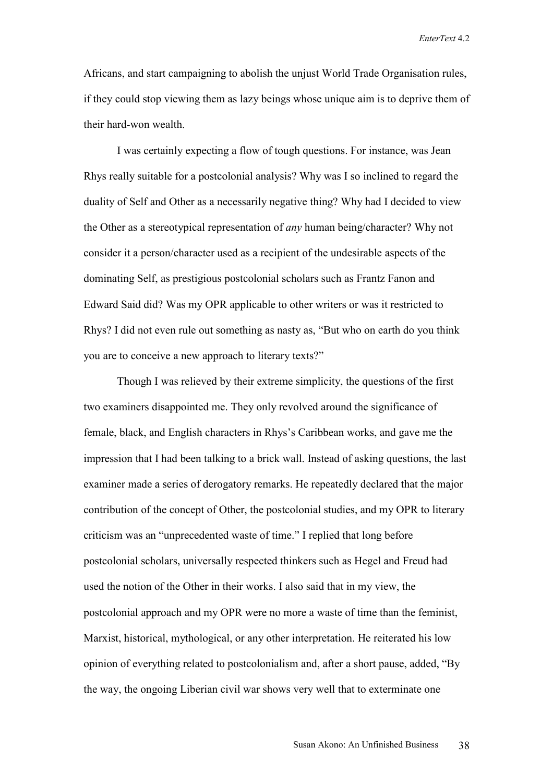Africans, and start campaigning to abolish the unjust World Trade Organisation rules, if they could stop viewing them as lazy beings whose unique aim is to deprive them of their hard-won wealth.

I was certainly expecting a flow of tough questions. For instance, was Jean Rhys really suitable for a postcolonial analysis? Why was I so inclined to regard the duality of Self and Other as a necessarily negative thing? Why had I decided to view the Other as a stereotypical representation of *any* human being/character? Why not consider it a person/character used as a recipient of the undesirable aspects of the dominating Self, as prestigious postcolonial scholars such as Frantz Fanon and Edward Said did? Was my OPR applicable to other writers or was it restricted to Rhys? I did not even rule out something as nasty as, "But who on earth do you think you are to conceive a new approach to literary texts?"

Though I was relieved by their extreme simplicity, the questions of the first two examiners disappointed me. They only revolved around the significance of female, black, and English characters in Rhys's Caribbean works, and gave me the impression that I had been talking to a brick wall. Instead of asking questions, the last examiner made a series of derogatory remarks. He repeatedly declared that the major contribution of the concept of Other, the postcolonial studies, and my OPR to literary criticism was an "unprecedented waste of time." I replied that long before postcolonial scholars, universally respected thinkers such as Hegel and Freud had used the notion of the Other in their works. I also said that in my view, the postcolonial approach and my OPR were no more a waste of time than the feminist, Marxist, historical, mythological, or any other interpretation. He reiterated his low opinion of everything related to postcolonialism and, after a short pause, added, "By the way, the ongoing Liberian civil war shows very well that to exterminate one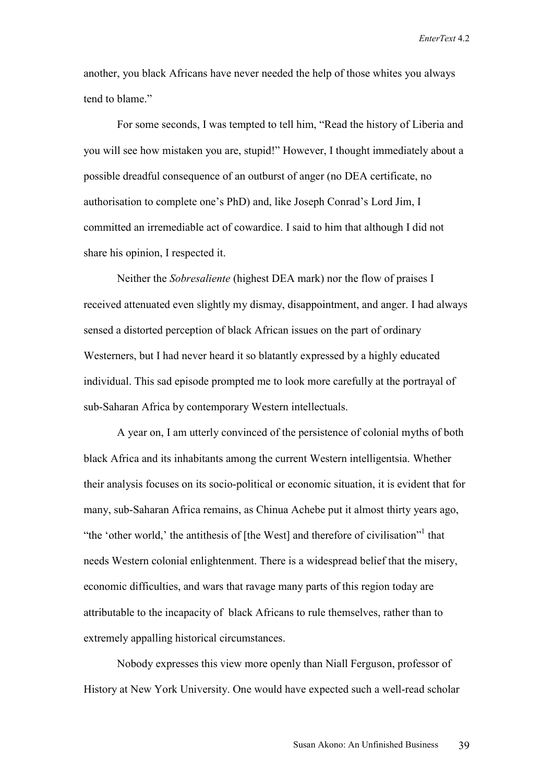another, you black Africans have never needed the help of those whites you always tend to blame."

For some seconds, I was tempted to tell him, "Read the history of Liberia and you will see how mistaken you are, stupid!" However, I thought immediately about a possible dreadful consequence of an outburst of anger (no DEA certificate, no authorisation to complete one's PhD) and, like Joseph Conrad's Lord Jim, I committed an irremediable act of cowardice. I said to him that although I did not share his opinion, I respected it.

Neither the *Sobresaliente* (highest DEA mark) nor the flow of praises I received attenuated even slightly my dismay, disappointment, and anger. I had always sensed a distorted perception of black African issues on the part of ordinary Westerners, but I had never heard it so blatantly expressed by a highly educated individual. This sad episode prompted me to look more carefully at the portrayal of sub-Saharan Africa by contemporary Western intellectuals.

A year on, I am utterly convinced of the persistence of colonial myths of both black Africa and its inhabitants among the current Western intelligentsia. Whether their analysis focuses on its socio-political or economic situation, it is evident that for many, sub-Saharan Africa remains, as Chinua Achebe put it almost thirty years ago, "the 'other world,' the antithesis of [the West] and therefore of civilisation"<sup>1</sup> that needs Western colonial enlightenment. There is a widespread belief that the misery, economic difficulties, and wars that ravage many parts of this region today are attributable to the incapacity of black Africans to rule themselves, rather than to extremely appalling historical circumstances.

Nobody expresses this view more openly than Niall Ferguson, professor of History at New York University. One would have expected such a well-read scholar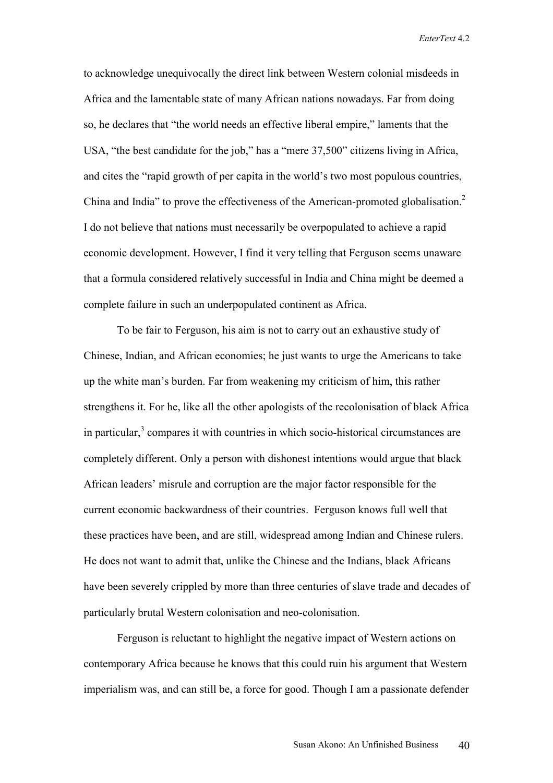to acknowledge unequivocally the direct link between Western colonial misdeeds in Africa and the lamentable state of many African nations nowadays. Far from doing so, he declares that "the world needs an effective liberal empire," laments that the USA, "the best candidate for the job," has a "mere 37,500" citizens living in Africa, and cites the "rapid growth of per capita in the world's two most populous countries, China and India" to prove the effectiveness of the American-promoted globalisation.2 I do not believe that nations must necessarily be overpopulated to achieve a rapid economic development. However, I find it very telling that Ferguson seems unaware that a formula considered relatively successful in India and China might be deemed a complete failure in such an underpopulated continent as Africa.

To be fair to Ferguson, his aim is not to carry out an exhaustive study of Chinese, Indian, and African economies; he just wants to urge the Americans to take up the white man's burden. Far from weakening my criticism of him, this rather strengthens it. For he, like all the other apologists of the recolonisation of black Africa in particular, $3$  compares it with countries in which socio-historical circumstances are completely different. Only a person with dishonest intentions would argue that black African leaders' misrule and corruption are the major factor responsible for the current economic backwardness of their countries. Ferguson knows full well that these practices have been, and are still, widespread among Indian and Chinese rulers. He does not want to admit that, unlike the Chinese and the Indians, black Africans have been severely crippled by more than three centuries of slave trade and decades of particularly brutal Western colonisation and neo-colonisation.

Ferguson is reluctant to highlight the negative impact of Western actions on contemporary Africa because he knows that this could ruin his argument that Western imperialism was, and can still be, a force for good. Though I am a passionate defender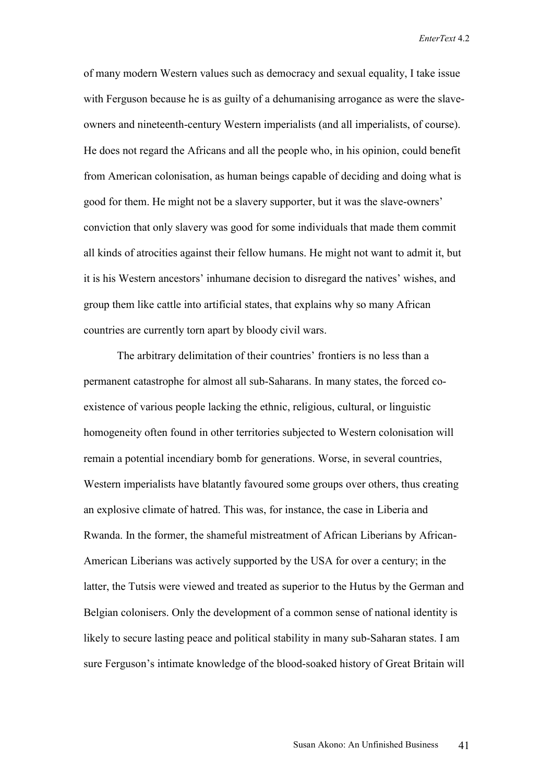of many modern Western values such as democracy and sexual equality, I take issue with Ferguson because he is as guilty of a dehumanising arrogance as were the slaveowners and nineteenth-century Western imperialists (and all imperialists, of course). He does not regard the Africans and all the people who, in his opinion, could benefit from American colonisation, as human beings capable of deciding and doing what is good for them. He might not be a slavery supporter, but it was the slave-owners' conviction that only slavery was good for some individuals that made them commit all kinds of atrocities against their fellow humans. He might not want to admit it, but it is his Western ancestors' inhumane decision to disregard the natives' wishes, and group them like cattle into artificial states, that explains why so many African countries are currently torn apart by bloody civil wars.

The arbitrary delimitation of their countries' frontiers is no less than a permanent catastrophe for almost all sub-Saharans. In many states, the forced coexistence of various people lacking the ethnic, religious, cultural, or linguistic homogeneity often found in other territories subjected to Western colonisation will remain a potential incendiary bomb for generations. Worse, in several countries, Western imperialists have blatantly favoured some groups over others, thus creating an explosive climate of hatred. This was, for instance, the case in Liberia and Rwanda. In the former, the shameful mistreatment of African Liberians by African-American Liberians was actively supported by the USA for over a century; in the latter, the Tutsis were viewed and treated as superior to the Hutus by the German and Belgian colonisers. Only the development of a common sense of national identity is likely to secure lasting peace and political stability in many sub-Saharan states. I am sure Ferguson's intimate knowledge of the blood-soaked history of Great Britain will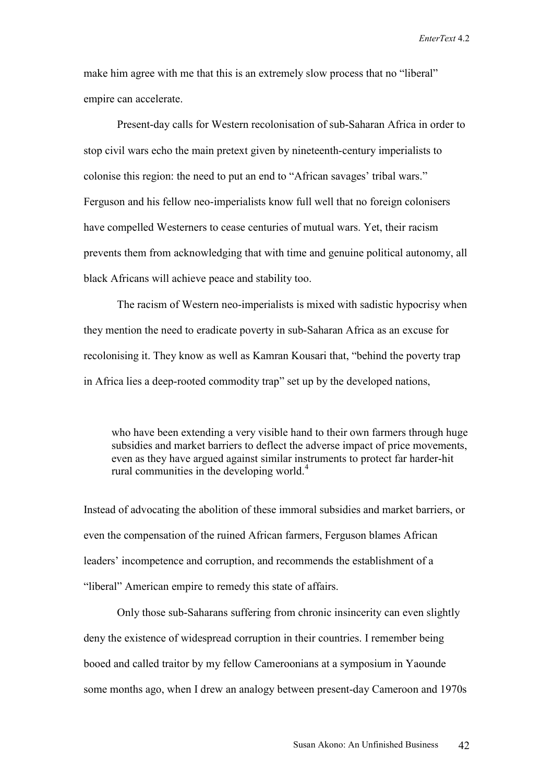make him agree with me that this is an extremely slow process that no "liberal" empire can accelerate.

Present-day calls for Western recolonisation of sub-Saharan Africa in order to stop civil wars echo the main pretext given by nineteenth-century imperialists to colonise this region: the need to put an end to "African savages' tribal wars." Ferguson and his fellow neo-imperialists know full well that no foreign colonisers have compelled Westerners to cease centuries of mutual wars. Yet, their racism prevents them from acknowledging that with time and genuine political autonomy, all black Africans will achieve peace and stability too.

The racism of Western neo-imperialists is mixed with sadistic hypocrisy when they mention the need to eradicate poverty in sub-Saharan Africa as an excuse for recolonising it. They know as well as Kamran Kousari that, "behind the poverty trap in Africa lies a deep-rooted commodity trap" set up by the developed nations,

 who have been extending a very visible hand to their own farmers through huge subsidies and market barriers to deflect the adverse impact of price movements, even as they have argued against similar instruments to protect far harder-hit rural communities in the developing world.<sup>4</sup>

Instead of advocating the abolition of these immoral subsidies and market barriers, or even the compensation of the ruined African farmers, Ferguson blames African leaders' incompetence and corruption, and recommends the establishment of a "liberal" American empire to remedy this state of affairs.

Only those sub-Saharans suffering from chronic insincerity can even slightly deny the existence of widespread corruption in their countries. I remember being booed and called traitor by my fellow Cameroonians at a symposium in Yaounde some months ago, when I drew an analogy between present-day Cameroon and 1970s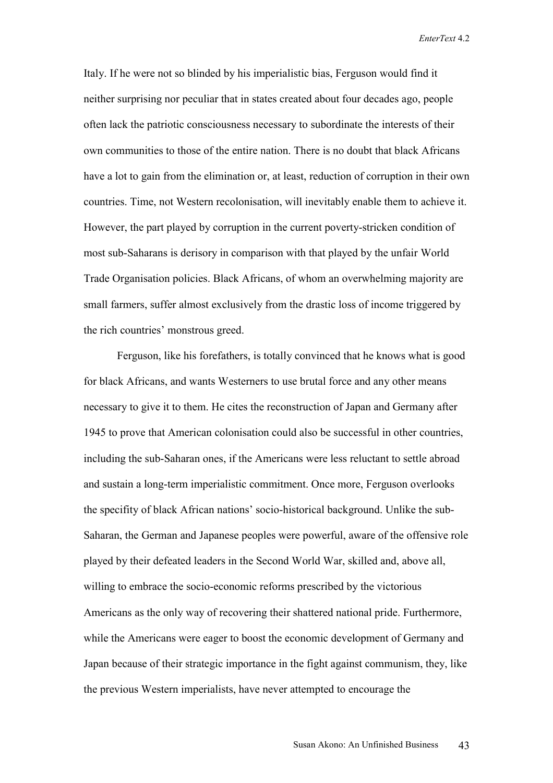Italy. If he were not so blinded by his imperialistic bias, Ferguson would find it neither surprising nor peculiar that in states created about four decades ago, people often lack the patriotic consciousness necessary to subordinate the interests of their own communities to those of the entire nation. There is no doubt that black Africans have a lot to gain from the elimination or, at least, reduction of corruption in their own countries. Time, not Western recolonisation, will inevitably enable them to achieve it. However, the part played by corruption in the current poverty-stricken condition of most sub-Saharans is derisory in comparison with that played by the unfair World Trade Organisation policies. Black Africans, of whom an overwhelming majority are small farmers, suffer almost exclusively from the drastic loss of income triggered by the rich countries' monstrous greed.

Ferguson, like his forefathers, is totally convinced that he knows what is good for black Africans, and wants Westerners to use brutal force and any other means necessary to give it to them. He cites the reconstruction of Japan and Germany after 1945 to prove that American colonisation could also be successful in other countries, including the sub-Saharan ones, if the Americans were less reluctant to settle abroad and sustain a long-term imperialistic commitment. Once more, Ferguson overlooks the specifity of black African nations' socio-historical background. Unlike the sub-Saharan, the German and Japanese peoples were powerful, aware of the offensive role played by their defeated leaders in the Second World War, skilled and, above all, willing to embrace the socio-economic reforms prescribed by the victorious Americans as the only way of recovering their shattered national pride. Furthermore, while the Americans were eager to boost the economic development of Germany and Japan because of their strategic importance in the fight against communism, they, like the previous Western imperialists, have never attempted to encourage the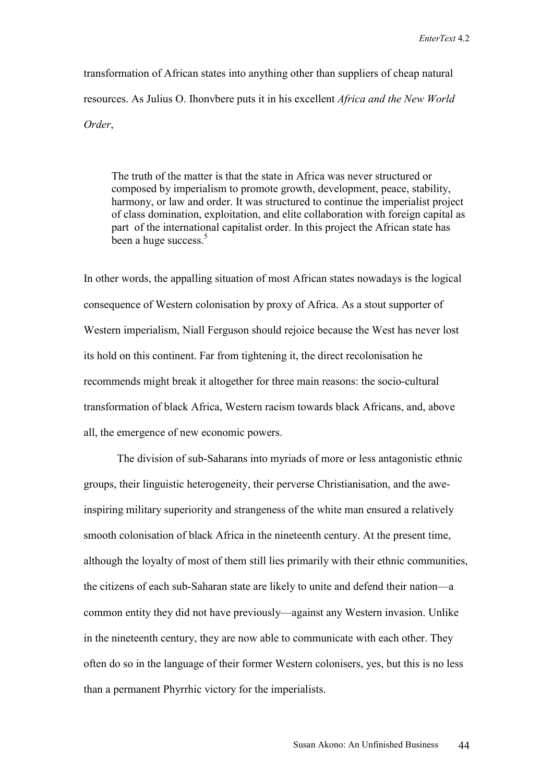transformation of African states into anything other than suppliers of cheap natural resources. As Julius O. Ihonvbere puts it in his excellent *Africa and the New World Order*,

 The truth of the matter is that the state in Africa was never structured or composed by imperialism to promote growth, development, peace, stability, harmony, or law and order. It was structured to continue the imperialist project of class domination, exploitation, and elite collaboration with foreign capital as part of the international capitalist order. In this project the African state has been a huge success.<sup>5</sup>

In other words, the appalling situation of most African states nowadays is the logical consequence of Western colonisation by proxy of Africa. As a stout supporter of Western imperialism, Niall Ferguson should rejoice because the West has never lost its hold on this continent. Far from tightening it, the direct recolonisation he recommends might break it altogether for three main reasons: the socio-cultural transformation of black Africa, Western racism towards black Africans, and, above all, the emergence of new economic powers.

The division of sub-Saharans into myriads of more or less antagonistic ethnic groups, their linguistic heterogeneity, their perverse Christianisation, and the aweinspiring military superiority and strangeness of the white man ensured a relatively smooth colonisation of black Africa in the nineteenth century. At the present time, although the loyalty of most of them still lies primarily with their ethnic communities, the citizens of each sub-Saharan state are likely to unite and defend their nation—a common entity they did not have previously—against any Western invasion. Unlike in the nineteenth century, they are now able to communicate with each other. They often do so in the language of their former Western colonisers, yes, but this is no less than a permanent Phyrrhic victory for the imperialists.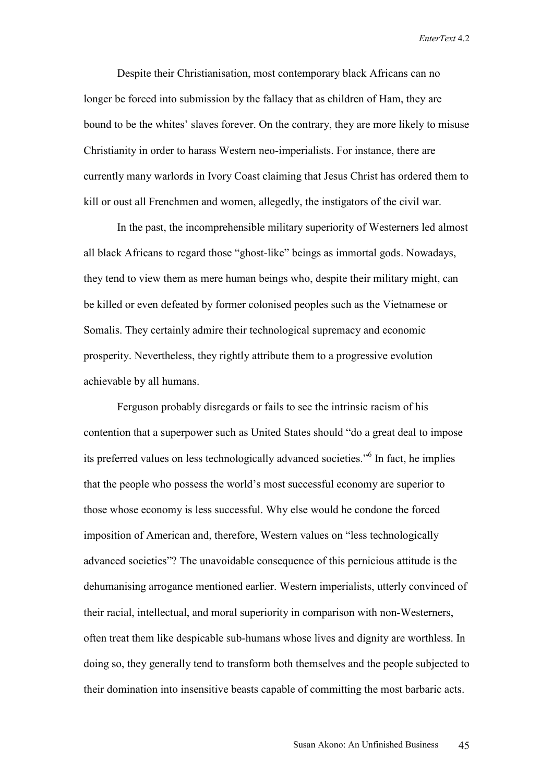Despite their Christianisation, most contemporary black Africans can no longer be forced into submission by the fallacy that as children of Ham, they are bound to be the whites' slaves forever. On the contrary, they are more likely to misuse Christianity in order to harass Western neo-imperialists. For instance, there are currently many warlords in Ivory Coast claiming that Jesus Christ has ordered them to kill or oust all Frenchmen and women, allegedly, the instigators of the civil war.

In the past, the incomprehensible military superiority of Westerners led almost all black Africans to regard those "ghost-like" beings as immortal gods. Nowadays, they tend to view them as mere human beings who, despite their military might, can be killed or even defeated by former colonised peoples such as the Vietnamese or Somalis. They certainly admire their technological supremacy and economic prosperity. Nevertheless, they rightly attribute them to a progressive evolution achievable by all humans.

Ferguson probably disregards or fails to see the intrinsic racism of his contention that a superpower such as United States should "do a great deal to impose its preferred values on less technologically advanced societies."6 In fact, he implies that the people who possess the world's most successful economy are superior to those whose economy is less successful. Why else would he condone the forced imposition of American and, therefore, Western values on "less technologically advanced societies"? The unavoidable consequence of this pernicious attitude is the dehumanising arrogance mentioned earlier. Western imperialists, utterly convinced of their racial, intellectual, and moral superiority in comparison with non-Westerners, often treat them like despicable sub-humans whose lives and dignity are worthless. In doing so, they generally tend to transform both themselves and the people subjected to their domination into insensitive beasts capable of committing the most barbaric acts.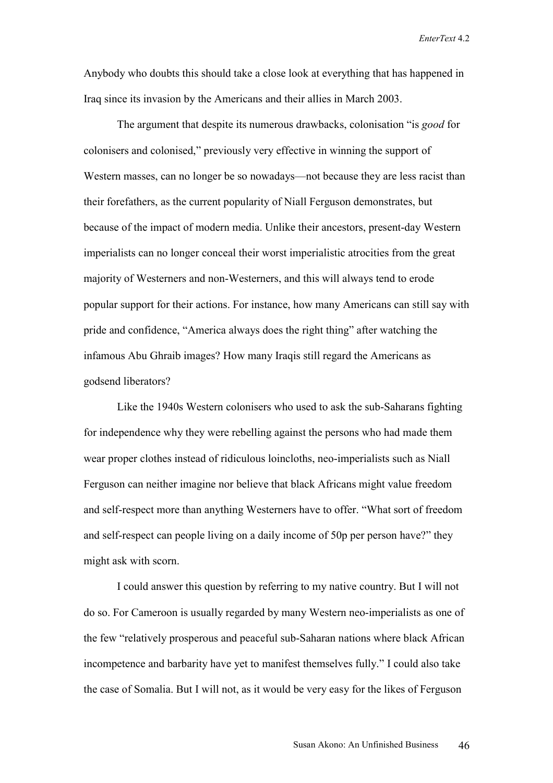Anybody who doubts this should take a close look at everything that has happened in Iraq since its invasion by the Americans and their allies in March 2003.

The argument that despite its numerous drawbacks, colonisation "is *good* for colonisers and colonised," previously very effective in winning the support of Western masses, can no longer be so nowadays—not because they are less racist than their forefathers, as the current popularity of Niall Ferguson demonstrates, but because of the impact of modern media. Unlike their ancestors, present-day Western imperialists can no longer conceal their worst imperialistic atrocities from the great majority of Westerners and non-Westerners, and this will always tend to erode popular support for their actions. For instance, how many Americans can still say with pride and confidence, "America always does the right thing" after watching the infamous Abu Ghraib images? How many Iraqis still regard the Americans as godsend liberators?

Like the 1940s Western colonisers who used to ask the sub-Saharans fighting for independence why they were rebelling against the persons who had made them wear proper clothes instead of ridiculous loincloths, neo-imperialists such as Niall Ferguson can neither imagine nor believe that black Africans might value freedom and self-respect more than anything Westerners have to offer. "What sort of freedom and self-respect can people living on a daily income of 50p per person have?" they might ask with scorn.

I could answer this question by referring to my native country. But I will not do so. For Cameroon is usually regarded by many Western neo-imperialists as one of the few "relatively prosperous and peaceful sub-Saharan nations where black African incompetence and barbarity have yet to manifest themselves fully." I could also take the case of Somalia. But I will not, as it would be very easy for the likes of Ferguson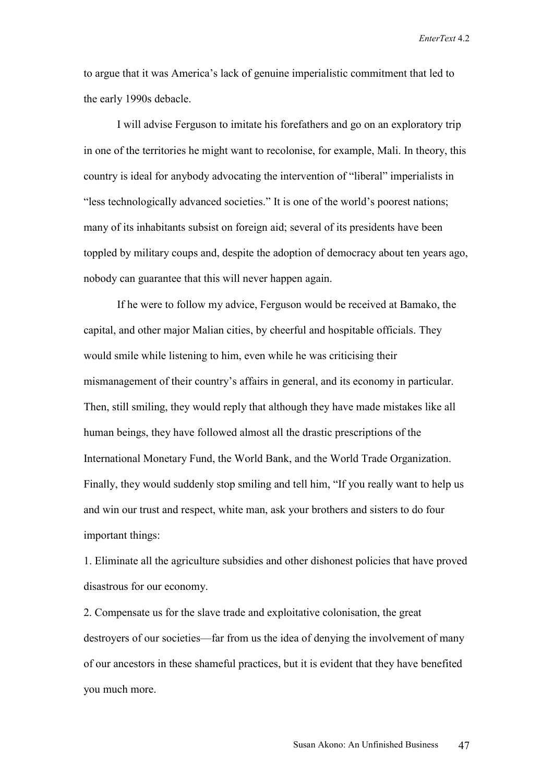to argue that it was America's lack of genuine imperialistic commitment that led to the early 1990s debacle.

I will advise Ferguson to imitate his forefathers and go on an exploratory trip in one of the territories he might want to recolonise, for example, Mali. In theory, this country is ideal for anybody advocating the intervention of "liberal" imperialists in "less technologically advanced societies." It is one of the world's poorest nations; many of its inhabitants subsist on foreign aid; several of its presidents have been toppled by military coups and, despite the adoption of democracy about ten years ago, nobody can guarantee that this will never happen again.

If he were to follow my advice, Ferguson would be received at Bamako, the capital, and other major Malian cities, by cheerful and hospitable officials. They would smile while listening to him, even while he was criticising their mismanagement of their country's affairs in general, and its economy in particular. Then, still smiling, they would reply that although they have made mistakes like all human beings, they have followed almost all the drastic prescriptions of the International Monetary Fund, the World Bank, and the World Trade Organization. Finally, they would suddenly stop smiling and tell him, "If you really want to help us and win our trust and respect, white man, ask your brothers and sisters to do four important things:

1. Eliminate all the agriculture subsidies and other dishonest policies that have proved disastrous for our economy.

2. Compensate us for the slave trade and exploitative colonisation, the great destroyers of our societies—far from us the idea of denying the involvement of many of our ancestors in these shameful practices, but it is evident that they have benefited you much more.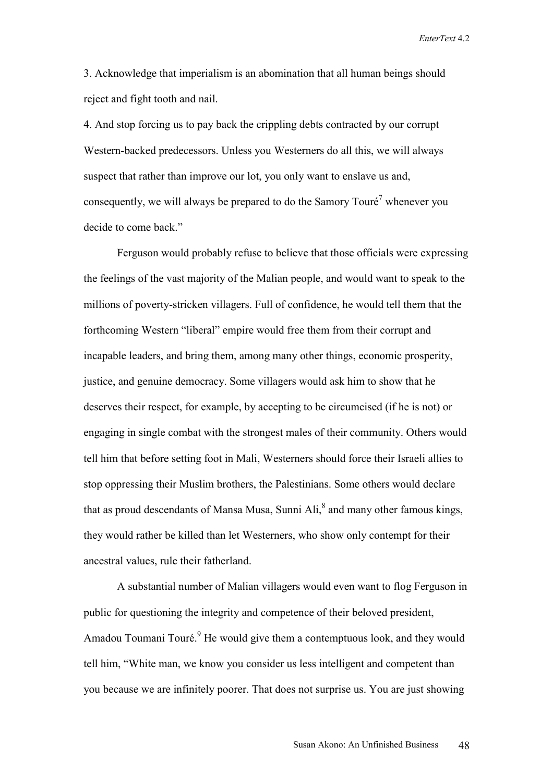3. Acknowledge that imperialism is an abomination that all human beings should reject and fight tooth and nail.

4. And stop forcing us to pay back the crippling debts contracted by our corrupt Western-backed predecessors. Unless you Westerners do all this, we will always suspect that rather than improve our lot, you only want to enslave us and, consequently, we will always be prepared to do the Samory Touré<sup>7</sup> whenever you decide to come back."

Ferguson would probably refuse to believe that those officials were expressing the feelings of the vast majority of the Malian people, and would want to speak to the millions of poverty-stricken villagers. Full of confidence, he would tell them that the forthcoming Western "liberal" empire would free them from their corrupt and incapable leaders, and bring them, among many other things, economic prosperity, justice, and genuine democracy. Some villagers would ask him to show that he deserves their respect, for example, by accepting to be circumcised (if he is not) or engaging in single combat with the strongest males of their community. Others would tell him that before setting foot in Mali, Westerners should force their Israeli allies to stop oppressing their Muslim brothers, the Palestinians. Some others would declare that as proud descendants of Mansa Musa, Sunni Ali,<sup>8</sup> and many other famous kings, they would rather be killed than let Westerners, who show only contempt for their ancestral values, rule their fatherland.

A substantial number of Malian villagers would even want to flog Ferguson in public for questioning the integrity and competence of their beloved president, Amadou Toumani Touré.<sup>9</sup> He would give them a contemptuous look, and they would tell him, "White man, we know you consider us less intelligent and competent than you because we are infinitely poorer. That does not surprise us. You are just showing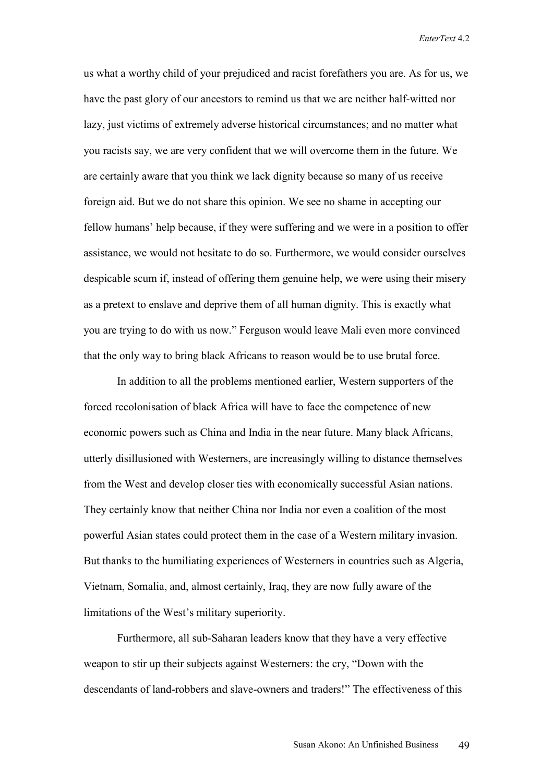us what a worthy child of your prejudiced and racist forefathers you are. As for us, we have the past glory of our ancestors to remind us that we are neither half-witted nor lazy, just victims of extremely adverse historical circumstances; and no matter what you racists say, we are very confident that we will overcome them in the future. We are certainly aware that you think we lack dignity because so many of us receive foreign aid. But we do not share this opinion. We see no shame in accepting our fellow humans' help because, if they were suffering and we were in a position to offer assistance, we would not hesitate to do so. Furthermore, we would consider ourselves despicable scum if, instead of offering them genuine help, we were using their misery as a pretext to enslave and deprive them of all human dignity. This is exactly what you are trying to do with us now." Ferguson would leave Mali even more convinced that the only way to bring black Africans to reason would be to use brutal force.

In addition to all the problems mentioned earlier, Western supporters of the forced recolonisation of black Africa will have to face the competence of new economic powers such as China and India in the near future. Many black Africans, utterly disillusioned with Westerners, are increasingly willing to distance themselves from the West and develop closer ties with economically successful Asian nations. They certainly know that neither China nor India nor even a coalition of the most powerful Asian states could protect them in the case of a Western military invasion. But thanks to the humiliating experiences of Westerners in countries such as Algeria, Vietnam, Somalia, and, almost certainly, Iraq, they are now fully aware of the limitations of the West's military superiority.

Furthermore, all sub-Saharan leaders know that they have a very effective weapon to stir up their subjects against Westerners: the cry, "Down with the descendants of land-robbers and slave-owners and traders!" The effectiveness of this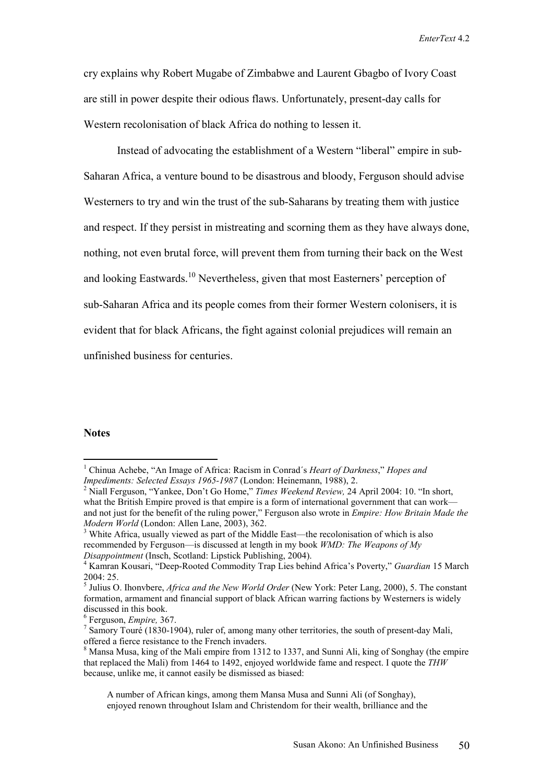cry explains why Robert Mugabe of Zimbabwe and Laurent Gbagbo of Ivory Coast are still in power despite their odious flaws. Unfortunately, present-day calls for Western recolonisation of black Africa do nothing to lessen it.

Instead of advocating the establishment of a Western "liberal" empire in sub-Saharan Africa, a venture bound to be disastrous and bloody, Ferguson should advise Westerners to try and win the trust of the sub-Saharans by treating them with justice and respect. If they persist in mistreating and scorning them as they have always done, nothing, not even brutal force, will prevent them from turning their back on the West and looking Eastwards.<sup>10</sup> Nevertheless, given that most Easterners' perception of sub-Saharan Africa and its people comes from their former Western colonisers, it is evident that for black Africans, the fight against colonial prejudices will remain an unfinished business for centuries.

## **Notes**

 $\overline{a}$ 

 A number of African kings, among them Mansa Musa and Sunni Ali (of Songhay), enjoyed renown throughout Islam and Christendom for their wealth, brilliance and the

<sup>1</sup> Chinua Achebe, "An Image of Africa: Racism in Conrad´s *Heart of Darkness*," *Hopes and Impediments: Selected Essays 1965-1987* (London: Heinemann, 1988), 2.

<sup>&</sup>lt;sup>2</sup> Niall Ferguson, "Yankee, Don't Go Home," *Times Weekend Review*, 24 April 2004: 10. "In short, what the British Empire proved is that empire is a form of international government that can work and not just for the benefit of the ruling power," Ferguson also wrote in *Empire: How Britain Made the Modern World* (London: Allen Lane, 2003), 362.

<sup>&</sup>lt;sup>3</sup> White Africa, usually viewed as part of the Middle East—the recolonisation of which is also recommended by Ferguson—is discussed at length in my book *WMD: The Weapons of My Disappointment* (Insch, Scotland: Lipstick Publishing, 2004).

<sup>&</sup>lt;sup>4</sup> Kamran Kousari, "Deep-Rooted Commodity Trap Lies behind Africa's Poverty," *Guardian* 15 March  $2004 \cdot 25$ 

<sup>5</sup> Julius O. Ihonvbere, *Africa and the New World Order* (New York: Peter Lang, 2000), 5. The constant formation, armament and financial support of black African warring factions by Westerners is widely discussed in this book.

<sup>&</sup>lt;sup>6</sup> Ferguson, *Empire*, 367.<br><sup>7</sup> Samory Touré (1830-19

 $\frac{7}{1}$  Samory Touré (1830-1904), ruler of, among many other territories, the south of present-day Mali, offered a fierce resistance to the French invaders.

 $8$  Mansa Musa, king of the Mali empire from 1312 to 1337, and Sunni Ali, king of Songhay (the empire that replaced the Mali) from 1464 to 1492, enjoyed worldwide fame and respect. I quote the *THW* because, unlike me, it cannot easily be dismissed as biased: